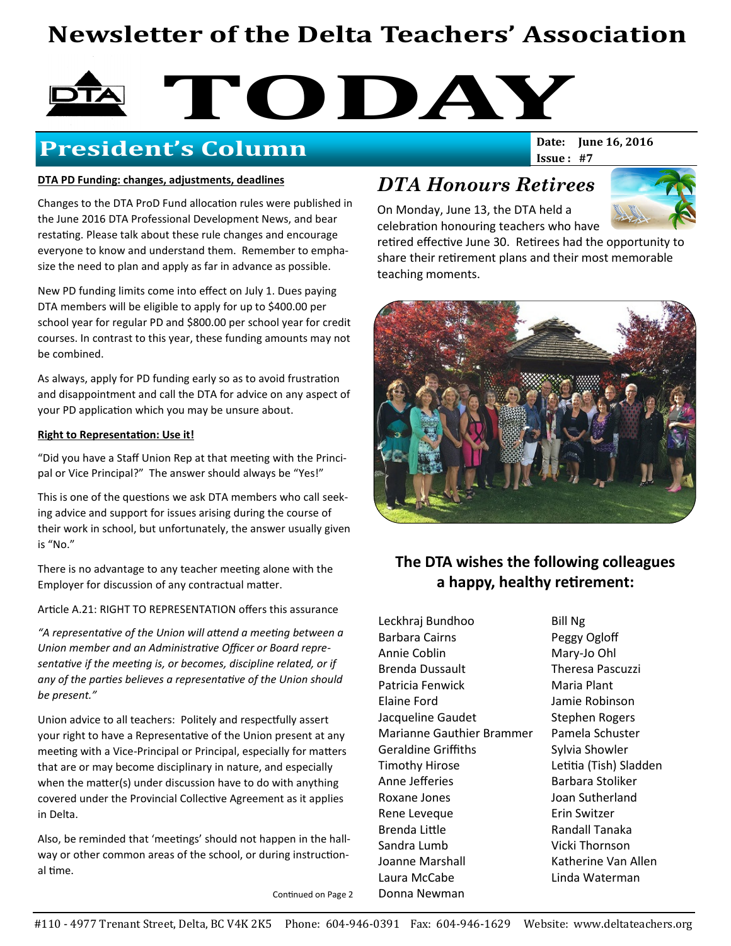# Newsletter of the Delta Teachers' Association

# **TODAY**<br>No Goldenson

## **President's Column**

### DTA PD Funding: changes, adjustments, deadlines

Changes to the DTA ProD Fund allocation rules were published in the June 2016 DTA Professional Development News, and bear restating. Please talk about these rule changes and encourage everyone to know and understand them. Remember to emphasize the need to plan and apply as far in advance as possible.

New PD funding limits come into effect on July 1. Dues paying DTA members will be eligible to apply for up to \$400.00 per school year for regular PD and \$800.00 per school year for credit courses. In contrast to this year, these funding amounts may not be combined.

As always, apply for PD funding early so as to avoid frustration and disappointment and call the DTA for advice on any aspect of your PD application which you may be unsure about.

#### Right to Representation: Use it!

"Did you have a Staff Union Rep at that meeting with the Principal or Vice Principal?" The answer should always be "Yes!"

This is one of the questions we ask DTA members who call seeking advice and support for issues arising during the course of their work in school, but unfortunately, the answer usually given is "No."

There is no advantage to any teacher meeting alone with the Employer for discussion of any contractual matter.

Article A.21: RIGHT TO REPRESENTATION offers this assurance

"A representative of the Union will attend a meeting between a Union member and an Administrative Officer or Board representative if the meeting is, or becomes, discipline related, or if any of the parties believes a representative of the Union should be present."

Union advice to all teachers: Politely and respectfully assert your right to have a Representative of the Union present at any meeting with a Vice-Principal or Principal, especially for matters that are or may become disciplinary in nature, and especially when the matter(s) under discussion have to do with anything covered under the Provincial Collective Agreement as it applies in Delta.

Also, be reminded that 'meetings' should not happen in the hallway or other common areas of the school, or during instructional time.

Continued on Page 2

## DTA Honours Retirees

On Monday, June 13, the DTA held a celebration honouring teachers who have



retired effective June 30. Retirees had the opportunity to share their retirement plans and their most memorable teaching moments.

Issue: #7



## The DTA wishes the following colleagues a happy, healthy retirement:

Leckhraj Bundhoo Barbara Cairns Annie Coblin Brenda Dussault Patricia Fenwick Elaine Ford Jacqueline Gaudet Marianne Gauthier Brammer Geraldine Griffiths Timothy Hirose Anne Jefferies Roxane Jones Rene Leveque Brenda Little Sandra Lumb Joanne Marshall Laura McCabe Donna Newman

Bill Ng Peggy Ogloff Mary-Jo Ohl Theresa Pascuzzi Maria Plant Jamie Robinson Stephen Rogers Pamela Schuster Sylvia Showler Letitia (Tish) Sladden Barbara Stoliker Joan Sutherland Erin Switzer Randall Tanaka Vicki Thornson Katherine Van Allen Linda Waterman